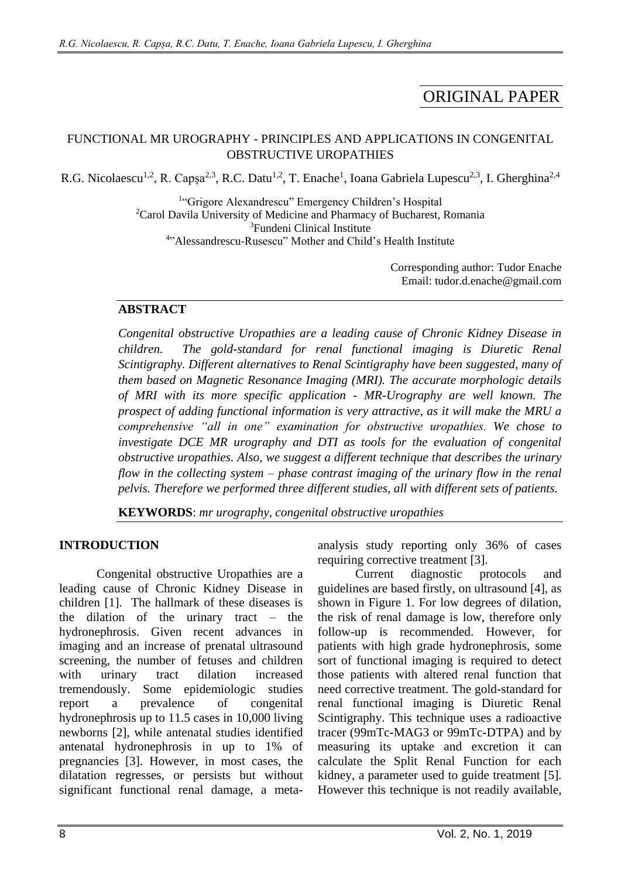# ORIGINAL PAPER

#### FUNCTIONAL MR UROGRAPHY - PRINCIPLES AND APPLICATIONS IN CONGENITAL OBSTRUCTIVE UROPATHIES

R.G. Nicolaescu<sup>1,2</sup>, R. Capșa<sup>2,3</sup>, R.C. Datu<sup>1,2</sup>, T. Enache<sup>1</sup>, Ioana Gabriela Lupescu<sup>2,3</sup>, I. Gherghina<sup>2,4</sup>

<sup>1</sup>"Grigore Alexandrescu" Emergency Children's Hospital <sup>2</sup>Carol Davila University of Medicine and Pharmacy of Bucharest, Romania <sup>3</sup>Fundeni Clinical Institute 4 "Alessandrescu-Rusescu" Mother and Child's Health Institute

> Corresponding author: Tudor Enache Email: tudor.d.enache@gmail.com

#### **ABSTRACT**

*Congenital obstructive Uropathies are a leading cause of Chronic Kidney Disease in children. The gold-standard for renal functional imaging is Diuretic Renal Scintigraphy. Different alternatives to Renal Scintigraphy have been suggested, many of them based on Magnetic Resonance Imaging (MRI). The accurate morphologic details of MRI with its more specific application - MR-Urography are well known. The prospect of adding functional information is very attractive, as it will make the MRU a comprehensive "all in one" examination for obstructive uropathies. We chose to investigate DCE MR urography and DTI as tools for the evaluation of congenital obstructive uropathies. Also, we suggest a different technique that describes the urinary flow in the collecting system – phase contrast imaging of the urinary flow in the renal pelvis. Therefore we performed three different studies, all with different sets of patients.*

**KEYWORDS**: *mr urography, congenital obstructive uropathies*

#### **INTRODUCTION**

Congenital obstructive Uropathies are a leading cause of Chronic Kidney Disease in children [1]. The hallmark of these diseases is the dilation of the urinary tract – the hydronephrosis. Given recent advances in imaging and an increase of prenatal ultrasound screening, the number of fetuses and children with urinary tract dilation increased tremendously. Some epidemiologic studies report a prevalence of congenital hydronephrosis up to 11.5 cases in 10,000 living newborns [2], while antenatal studies identified antenatal hydronephrosis in up to 1% of pregnancies [3]. However, in most cases, the dilatation regresses, or persists but without significant functional renal damage, a metaanalysis study reporting only 36% of cases requiring corrective treatment [3].

Current diagnostic protocols and guidelines are based firstly, on ultrasound [4], as shown in Figure 1. For low degrees of dilation, the risk of renal damage is low, therefore only follow-up is recommended. However, for patients with high grade hydronephrosis, some sort of functional imaging is required to detect those patients with altered renal function that need corrective treatment. The gold-standard for renal functional imaging is Diuretic Renal Scintigraphy. This technique uses a radioactive tracer (99mTc-MAG3 or 99mTc-DTPA) and by measuring its uptake and excretion it can calculate the Split Renal Function for each kidney, a parameter used to guide treatment [5]. However this technique is not readily available,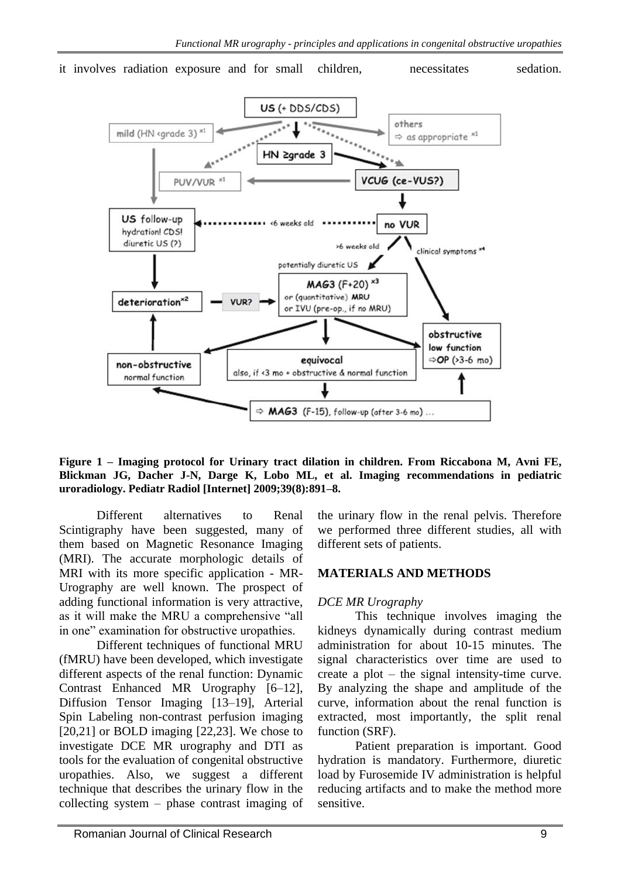



**Figure 1 – Imaging protocol for Urinary tract dilation in children. From Riccabona M, Avni FE, Blickman JG, Dacher J-N, Darge K, Lobo ML, et al. Imaging recommendations in pediatric uroradiology. Pediatr Radiol [Internet] 2009;39(8):891–8.**

Different alternatives to Renal Scintigraphy have been suggested, many of them based on Magnetic Resonance Imaging (MRI). The accurate morphologic details of MRI with its more specific application - MR-Urography are well known. The prospect of adding functional information is very attractive, as it will make the MRU a comprehensive "all in one" examination for obstructive uropathies.

Different techniques of functional MRU (fMRU) have been developed, which investigate different aspects of the renal function: Dynamic Contrast Enhanced MR Urography [6–12], Diffusion Tensor Imaging [13–19], Arterial Spin Labeling non-contrast perfusion imaging [20,21] or BOLD imaging [22,23]. We chose to investigate DCE MR urography and DTI as tools for the evaluation of congenital obstructive uropathies. Also, we suggest a different technique that describes the urinary flow in the collecting system – phase contrast imaging of the urinary flow in the renal pelvis. Therefore we performed three different studies, all with different sets of patients.

# **MATERIALS AND METHODS**

# *DCE MR Urography*

This technique involves imaging the kidneys dynamically during contrast medium administration for about 10-15 minutes. The signal characteristics over time are used to create a plot – the signal intensity-time curve. By analyzing the shape and amplitude of the curve, information about the renal function is extracted, most importantly, the split renal function (SRF).

Patient preparation is important. Good hydration is mandatory. Furthermore, diuretic load by Furosemide IV administration is helpful reducing artifacts and to make the method more sensitive.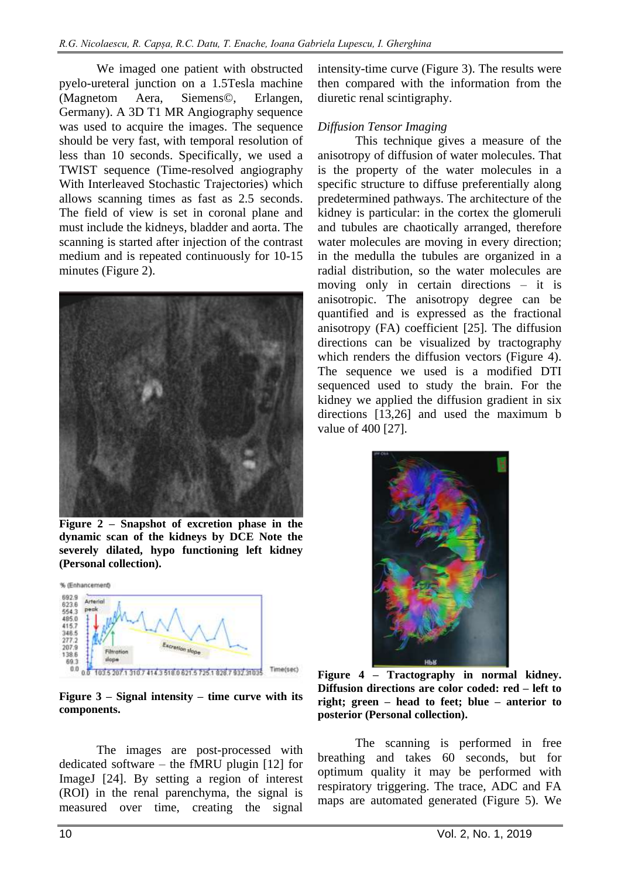We imaged one patient with obstructed pyelo-ureteral junction on a 1.5Tesla machine (Magnetom Aera, Siemens©, Erlangen, Germany). A 3D T1 MR Angiography sequence was used to acquire the images. The sequence should be very fast, with temporal resolution of less than 10 seconds. Specifically, we used a TWIST sequence (Time-resolved angiography With Interleaved Stochastic Trajectories) which allows scanning times as fast as 2.5 seconds. The field of view is set in coronal plane and must include the kidneys, bladder and aorta. The scanning is started after injection of the contrast medium and is repeated continuously for 10-15 minutes (Figure 2).



**Figure 2 – Snapshot of excretion phase in the dynamic scan of the kidneys by DCE Note the severely dilated, hypo functioning left kidney (Personal collection).**



#### **Figure 3 – Signal intensity – time curve with its components.**

The images are post-processed with dedicated software – the fMRU plugin [12] for ImageJ [24]. By setting a region of interest (ROI) in the renal parenchyma, the signal is measured over time, creating the signal

intensity-time curve (Figure 3). The results were then compared with the information from the diuretic renal scintigraphy.

#### *Diffusion Tensor Imaging*

This technique gives a measure of the anisotropy of diffusion of water molecules. That is the property of the water molecules in a specific structure to diffuse preferentially along predetermined pathways. The architecture of the kidney is particular: in the cortex the glomeruli and tubules are chaotically arranged, therefore water molecules are moving in every direction; in the medulla the tubules are organized in a radial distribution, so the water molecules are moving only in certain directions – it is anisotropic. The anisotropy degree can be quantified and is expressed as the fractional anisotropy (FA) coefficient [25]. The diffusion directions can be visualized by tractography which renders the diffusion vectors (Figure 4). The sequence we used is a modified DTI sequenced used to study the brain. For the kidney we applied the diffusion gradient in six directions [13,26] and used the maximum b value of 400 [27].



**Figure 4 – Tractography in normal kidney. Diffusion directions are color coded: red – left to right; green – head to feet; blue – anterior to posterior (Personal collection).**

The scanning is performed in free breathing and takes 60 seconds, but for optimum quality it may be performed with respiratory triggering. The trace, ADC and FA maps are automated generated (Figure 5). We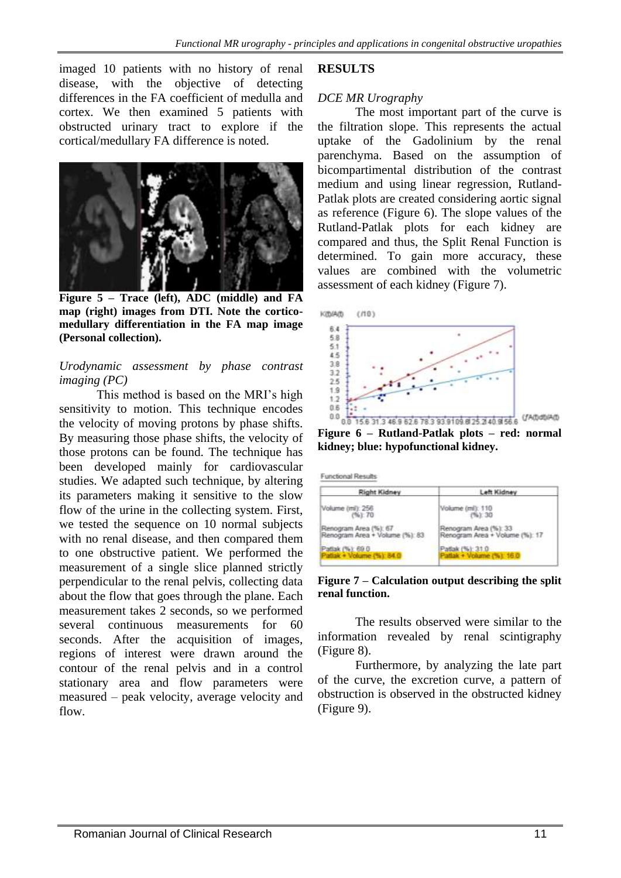imaged 10 patients with no history of renal disease, with the objective of detecting differences in the FA coefficient of medulla and cortex. We then examined 5 patients with obstructed urinary tract to explore if the cortical/medullary FA difference is noted.



**Figure 5 – Trace (left), ADC (middle) and FA map (right) images from DTI. Note the corticomedullary differentiation in the FA map image (Personal collection).**

#### *Urodynamic assessment by phase contrast imaging (PC)*

This method is based on the MRI's high sensitivity to motion. This technique encodes the velocity of moving protons by phase shifts. By measuring those phase shifts, the velocity of those protons can be found. The technique has been developed mainly for cardiovascular studies. We adapted such technique, by altering its parameters making it sensitive to the slow flow of the urine in the collecting system. First, we tested the sequence on 10 normal subjects with no renal disease, and then compared them to one obstructive patient. We performed the measurement of a single slice planned strictly perpendicular to the renal pelvis, collecting data about the flow that goes through the plane. Each measurement takes 2 seconds, so we performed several continuous measurements for 60 seconds. After the acquisition of images, regions of interest were drawn around the contour of the renal pelvis and in a control stationary area and flow parameters were measured – peak velocity, average velocity and flow.

## **RESULTS**

## *DCE MR Urography*

The most important part of the curve is the filtration slope. This represents the actual uptake of the Gadolinium by the renal parenchyma. Based on the assumption of bicompartimental distribution of the contrast medium and using linear regression, Rutland-Patlak plots are created considering aortic signal as reference (Figure 6). The slope values of the Rutland-Patlak plots for each kidney are compared and thus, the Split Renal Function is determined. To gain more accuracy, these values are combined with the volumetric assessment of each kidney (Figure 7).



**Figure 6 – Rutland-Patlak plots – red: normal kidney; blue: hypofunctional kidney.**

**Functional Results** 

| <b>Right Kidney</b>                                    | Left Kidney                                             |
|--------------------------------------------------------|---------------------------------------------------------|
| Volume (ml): 256                                       | Volume (ml): 110                                        |
| (961.70)                                               | 76.230                                                  |
| Renogram Area (%): 67<br>enogram Area + Volume (%): 83 | Renogram Area (%): 33<br>Renogram Area + Volume (%): 17 |
| atlak (%): 69.0                                        | Pattak (%): 31.0                                        |
| Patlak + Volume (%): 84                                | tlak + Volume (%): 16.0                                 |

**Figure 7 – Calculation output describing the split renal function.**

The results observed were similar to the information revealed by renal scintigraphy (Figure 8).

Furthermore, by analyzing the late part of the curve, the excretion curve, a pattern of obstruction is observed in the obstructed kidney (Figure 9).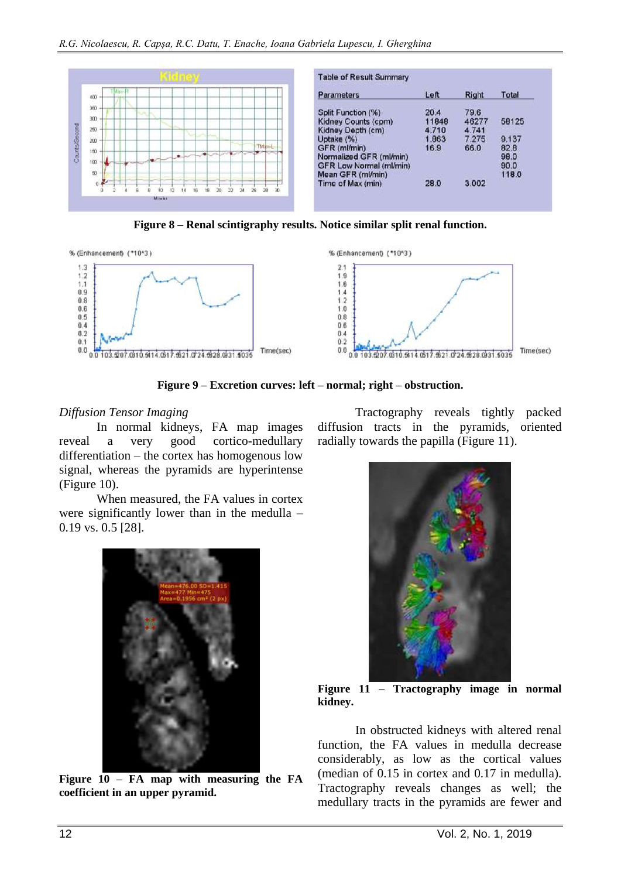

**Figure 8 – Renal scintigraphy results. Notice similar split renal function.**



**Figure 9 – Excretion curves: left – normal; right – obstruction.**

#### *Diffusion Tensor Imaging*

In normal kidneys, FA map images reveal a very good cortico-medullary differentiation – the cortex has homogenous low signal, whereas the pyramids are hyperintense (Figure 10).

When measured, the FA values in cortex were significantly lower than in the medulla – 0.19 vs. 0.5 [28].



**Figure 10 – FA map with measuring the FA coefficient in an upper pyramid.**

Tractography reveals tightly packed diffusion tracts in the pyramids, oriented radially towards the papilla (Figure 11).



**Figure 11 – Tractography image in normal kidney.**

In obstructed kidneys with altered renal function, the FA values in medulla decrease considerably, as low as the cortical values (median of 0.15 in cortex and 0.17 in medulla). Tractography reveals changes as well; the medullary tracts in the pyramids are fewer and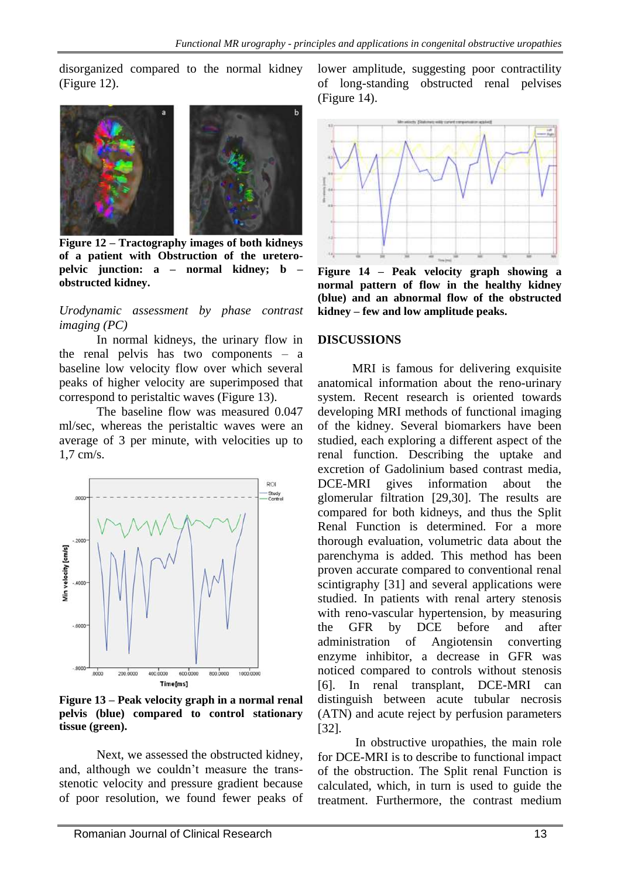disorganized compared to the normal kidney (Figure 12).



**Figure 12 – Tractography images of both kidneys of a patient with Obstruction of the ureteropelvic junction: a – normal kidney; b – obstructed kidney.**

#### *Urodynamic assessment by phase contrast imaging (PC)*

In normal kidneys, the urinary flow in the renal pelvis has two components – a baseline low velocity flow over which several peaks of higher velocity are superimposed that correspond to peristaltic waves (Figure 13).

The baseline flow was measured 0.047 ml/sec, whereas the peristaltic waves were an average of 3 per minute, with velocities up to 1,7 cm/s.



**Figure 13 – Peak velocity graph in a normal renal pelvis (blue) compared to control stationary tissue (green).**

Next, we assessed the obstructed kidney, and, although we couldn't measure the transstenotic velocity and pressure gradient because of poor resolution, we found fewer peaks of lower amplitude, suggesting poor contractility of long-standing obstructed renal pelvises (Figure 14).



**Figure 14 – Peak velocity graph showing a normal pattern of flow in the healthy kidney (blue) and an abnormal flow of the obstructed kidney – few and low amplitude peaks.**

#### **DISCUSSIONS**

 MRI is famous for delivering exquisite anatomical information about the reno-urinary system. Recent research is oriented towards developing MRI methods of functional imaging of the kidney. Several biomarkers have been studied, each exploring a different aspect of the renal function. Describing the uptake and excretion of Gadolinium based contrast media, DCE-MRI gives information about the glomerular filtration [29,30]. The results are compared for both kidneys, and thus the Split Renal Function is determined. For a more thorough evaluation, volumetric data about the parenchyma is added. This method has been proven accurate compared to conventional renal scintigraphy [31] and several applications were studied. In patients with renal artery stenosis with reno-vascular hypertension, by measuring the GFR by DCE before and after administration of Angiotensin converting enzyme inhibitor, a decrease in GFR was noticed compared to controls without stenosis [6]. In renal transplant, DCE-MRI can distinguish between acute tubular necrosis (ATN) and acute reject by perfusion parameters [32].

In obstructive uropathies, the main role for DCE-MRI is to describe to functional impact of the obstruction. The Split renal Function is calculated, which, in turn is used to guide the treatment. Furthermore, the contrast medium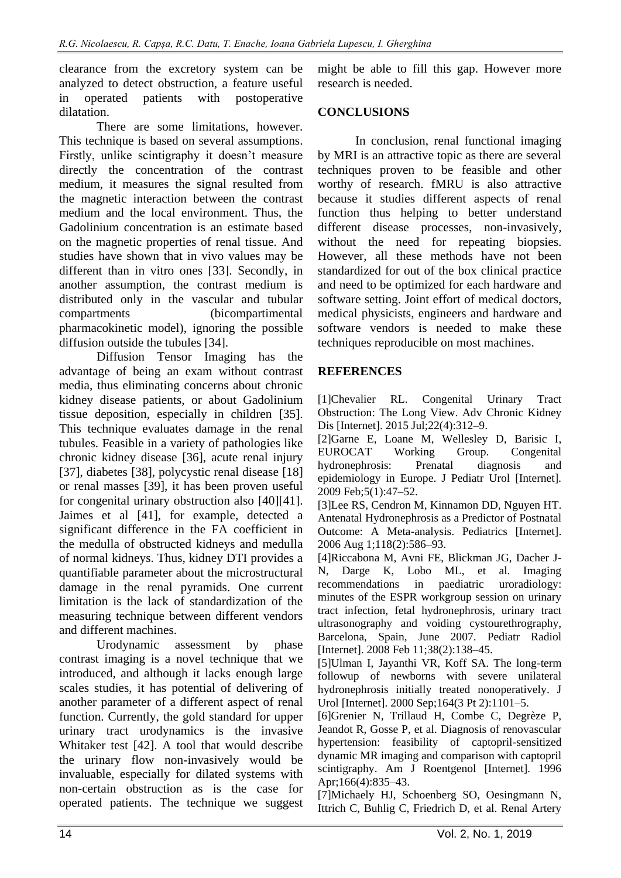clearance from the excretory system can be analyzed to detect obstruction, a feature useful in operated patients with postoperative dilatation.

There are some limitations, however. This technique is based on several assumptions. Firstly, unlike scintigraphy it doesn't measure directly the concentration of the contrast medium, it measures the signal resulted from the magnetic interaction between the contrast medium and the local environment. Thus, the Gadolinium concentration is an estimate based on the magnetic properties of renal tissue. And studies have shown that in vivo values may be different than in vitro ones [33]. Secondly, in another assumption, the contrast medium is distributed only in the vascular and tubular compartments (bicompartimental pharmacokinetic model), ignoring the possible diffusion outside the tubules [34].

Diffusion Tensor Imaging has the advantage of being an exam without contrast media, thus eliminating concerns about chronic kidney disease patients, or about Gadolinium tissue deposition, especially in children [35]. This technique evaluates damage in the renal tubules. Feasible in a variety of pathologies like chronic kidney disease [36], acute renal injury [37], diabetes [38], polycystic renal disease [18] or renal masses [39], it has been proven useful for congenital urinary obstruction also [40][41]. Jaimes et al [41], for example, detected a significant difference in the FA coefficient in the medulla of obstructed kidneys and medulla of normal kidneys. Thus, kidney DTI provides a quantifiable parameter about the microstructural damage in the renal pyramids. One current limitation is the lack of standardization of the measuring technique between different vendors and different machines.

Urodynamic assessment by phase contrast imaging is a novel technique that we introduced, and although it lacks enough large scales studies, it has potential of delivering of another parameter of a different aspect of renal function. Currently, the gold standard for upper urinary tract urodynamics is the invasive Whitaker test [42]. A tool that would describe the urinary flow non-invasively would be invaluable, especially for dilated systems with non-certain obstruction as is the case for operated patients. The technique we suggest

might be able to fill this gap. However more research is needed.

# **CONCLUSIONS**

In conclusion, renal functional imaging by MRI is an attractive topic as there are several techniques proven to be feasible and other worthy of research. fMRU is also attractive because it studies different aspects of renal function thus helping to better understand different disease processes, non-invasively, without the need for repeating biopsies. However, all these methods have not been standardized for out of the box clinical practice and need to be optimized for each hardware and software setting. Joint effort of medical doctors, medical physicists, engineers and hardware and software vendors is needed to make these techniques reproducible on most machines.

## **REFERENCES**

[1]Chevalier RL. Congenital Urinary Tract Obstruction: The Long View. Adv Chronic Kidney Dis [Internet]. 2015 Jul;22(4):312–9.

[2]Garne E, Loane M, Wellesley D, Barisic I, EUROCAT Working Group. Congenital hydronephrosis: Prenatal diagnosis and epidemiology in Europe. J Pediatr Urol [Internet]. 2009 Feb;5(1):47–52.

[3]Lee RS, Cendron M, Kinnamon DD, Nguyen HT. Antenatal Hydronephrosis as a Predictor of Postnatal Outcome: A Meta-analysis. Pediatrics [Internet]. 2006 Aug 1;118(2):586–93.

[4]Riccabona M, Avni FE, Blickman JG, Dacher J-N, Darge K, Lobo ML, et al. Imaging recommendations in paediatric uroradiology: minutes of the ESPR workgroup session on urinary tract infection, fetal hydronephrosis, urinary tract ultrasonography and voiding cystourethrography, Barcelona, Spain, June 2007. Pediatr Radiol [Internet]. 2008 Feb 11;38(2):138-45.

[5]Ulman I, Jayanthi VR, Koff SA. The long-term followup of newborns with severe unilateral hydronephrosis initially treated nonoperatively. J Urol [Internet]. 2000 Sep;164(3 Pt 2):1101–5.

[6]Grenier N, Trillaud H, Combe C, Degrèze P, Jeandot R, Gosse P, et al. Diagnosis of renovascular hypertension: feasibility of captopril-sensitized dynamic MR imaging and comparison with captopril scintigraphy. Am J Roentgenol [Internet]. 1996 Apr;166(4):835–43.

[7]Michaely HJ, Schoenberg SO, Oesingmann N, Ittrich C, Buhlig C, Friedrich D, et al. Renal Artery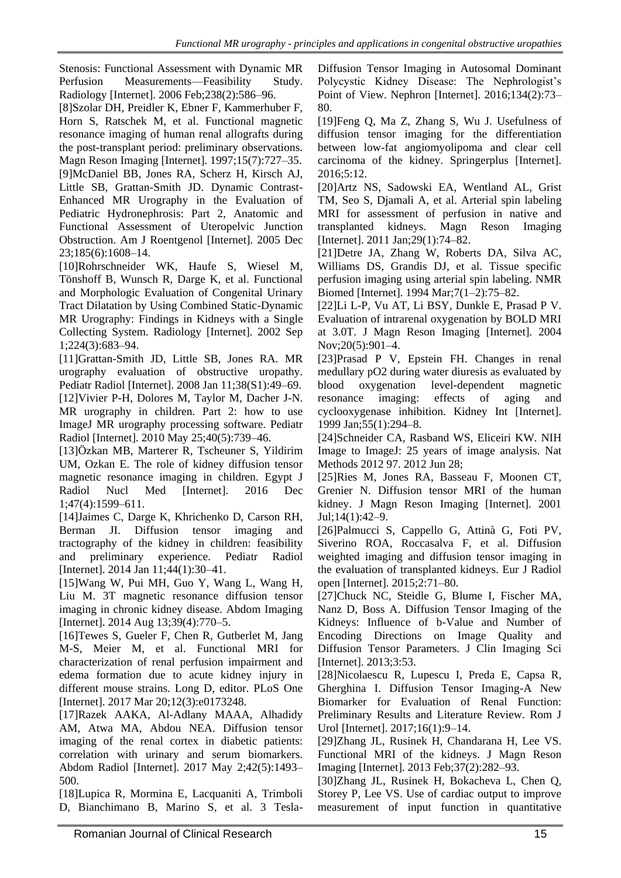Stenosis: Functional Assessment with Dynamic MR Perfusion Measurements—Feasibility Study. Radiology [Internet]. 2006 Feb;238(2):586–96.

[8]Szolar DH, Preidler K, Ebner F, Kammerhuber F, Horn S, Ratschek M, et al. Functional magnetic resonance imaging of human renal allografts during the post-transplant period: preliminary observations. Magn Reson Imaging [Internet]. 1997;15(7):727–35. [9]McDaniel BB, Jones RA, Scherz H, Kirsch AJ, Little SB, Grattan-Smith JD. Dynamic Contrast-Enhanced MR Urography in the Evaluation of Pediatric Hydronephrosis: Part 2, Anatomic and Functional Assessment of Uteropelvic Junction Obstruction. Am J Roentgenol [Internet]. 2005 Dec 23;185(6):1608–14.

[10]Rohrschneider WK, Haufe S, Wiesel M, Tönshoff B, Wunsch R, Darge K, et al. Functional and Morphologic Evaluation of Congenital Urinary Tract Dilatation by Using Combined Static-Dynamic MR Urography: Findings in Kidneys with a Single Collecting System. Radiology [Internet]. 2002 Sep 1;224(3):683–94.

[11]Grattan-Smith JD, Little SB, Jones RA. MR urography evaluation of obstructive uropathy. Pediatr Radiol [Internet]. 2008 Jan 11;38(S1):49–69. [12]Vivier P-H, Dolores M, Taylor M, Dacher J-N. MR urography in children. Part 2: how to use ImageJ MR urography processing software. Pediatr Radiol [Internet]. 2010 May 25;40(5):739–46.

[13]Özkan MB, Marterer R, Tscheuner S, Yildirim UM, Ozkan E. The role of kidney diffusion tensor magnetic resonance imaging in children. Egypt J Radiol Nucl Med [Internet]. 2016 Dec 1;47(4):1599–611.

[14]Jaimes C, Darge K, Khrichenko D, Carson RH, Berman JI. Diffusion tensor imaging and tractography of the kidney in children: feasibility and preliminary experience. Pediatr Radiol [Internet]. 2014 Jan 11;44(1):30–41.

[15]Wang W, Pui MH, Guo Y, Wang L, Wang H, Liu M. 3T magnetic resonance diffusion tensor imaging in chronic kidney disease. Abdom Imaging [Internet]. 2014 Aug 13;39(4):770–5.

[16]Tewes S, Gueler F, Chen R, Gutberlet M, Jang M-S, Meier M, et al. Functional MRI for characterization of renal perfusion impairment and edema formation due to acute kidney injury in different mouse strains. Long D, editor. PLoS One [Internet]. 2017 Mar 20;12(3):e0173248.

[17]Razek AAKA, Al-Adlany MAAA, Alhadidy AM, Atwa MA, Abdou NEA. Diffusion tensor imaging of the renal cortex in diabetic patients: correlation with urinary and serum biomarkers. Abdom Radiol [Internet]. 2017 May 2;42(5):1493– 500.

[18]Lupica R, Mormina E, Lacquaniti A, Trimboli D, Bianchimano B, Marino S, et al. 3 TeslaDiffusion Tensor Imaging in Autosomal Dominant Polycystic Kidney Disease: The Nephrologist's Point of View. Nephron [Internet]. 2016;134(2):73– 80.

[19]Feng Q, Ma Z, Zhang S, Wu J. Usefulness of diffusion tensor imaging for the differentiation between low-fat angiomyolipoma and clear cell carcinoma of the kidney. Springerplus [Internet]. 2016;5:12.

[20]Artz NS, Sadowski EA, Wentland AL, Grist TM, Seo S, Djamali A, et al. Arterial spin labeling MRI for assessment of perfusion in native and transplanted kidneys. Magn Reson Imaging [Internet]. 2011 Jan; 29(1): 74–82.

[21]Detre JA, Zhang W, Roberts DA, Silva AC, Williams DS, Grandis DJ, et al. Tissue specific perfusion imaging using arterial spin labeling. NMR Biomed [Internet]. 1994 Mar;7(1–2):75–82.

[22]Li L-P, Vu AT, Li BSY, Dunkle E, Prasad P V. Evaluation of intrarenal oxygenation by BOLD MRI at 3.0T. J Magn Reson Imaging [Internet]. 2004 Nov;20(5):901–4.

[23]Prasad P V, Epstein FH. Changes in renal medullary pO2 during water diuresis as evaluated by blood oxygenation level-dependent magnetic resonance imaging: effects of aging and cyclooxygenase inhibition. Kidney Int [Internet]. 1999 Jan;55(1):294–8.

[24]Schneider CA, Rasband WS, Eliceiri KW. NIH Image to ImageJ: 25 years of image analysis. Nat Methods 2012 97. 2012 Jun 28;

[25]Ries M, Jones RA, Basseau F, Moonen CT, Grenier N. Diffusion tensor MRI of the human kidney. J Magn Reson Imaging [Internet]. 2001 Jul;14(1):42–9.

[26]Palmucci S, Cappello G, Attinà G, Foti PV, Siverino ROA, Roccasalva F, et al. Diffusion weighted imaging and diffusion tensor imaging in the evaluation of transplanted kidneys. Eur J Radiol open [Internet]. 2015;2:71–80.

[27]Chuck NC, Steidle G, Blume I, Fischer MA, Nanz D, Boss A. Diffusion Tensor Imaging of the Kidneys: Influence of b-Value and Number of Encoding Directions on Image Quality and Diffusion Tensor Parameters. J Clin Imaging Sci [Internet]. 2013;3:53.

[28]Nicolaescu R, Lupescu I, Preda E, Capsa R, Gherghina I. Diffusion Tensor Imaging-A New Biomarker for Evaluation of Renal Function: Preliminary Results and Literature Review. Rom J Urol [Internet]. 2017;16(1):9–14.

[29]Zhang JL, Rusinek H, Chandarana H, Lee VS. Functional MRI of the kidneys. J Magn Reson Imaging [Internet]. 2013 Feb;37(2):282–93.

[30]Zhang JL, Rusinek H, Bokacheva L, Chen Q, Storey P, Lee VS. Use of cardiac output to improve measurement of input function in quantitative